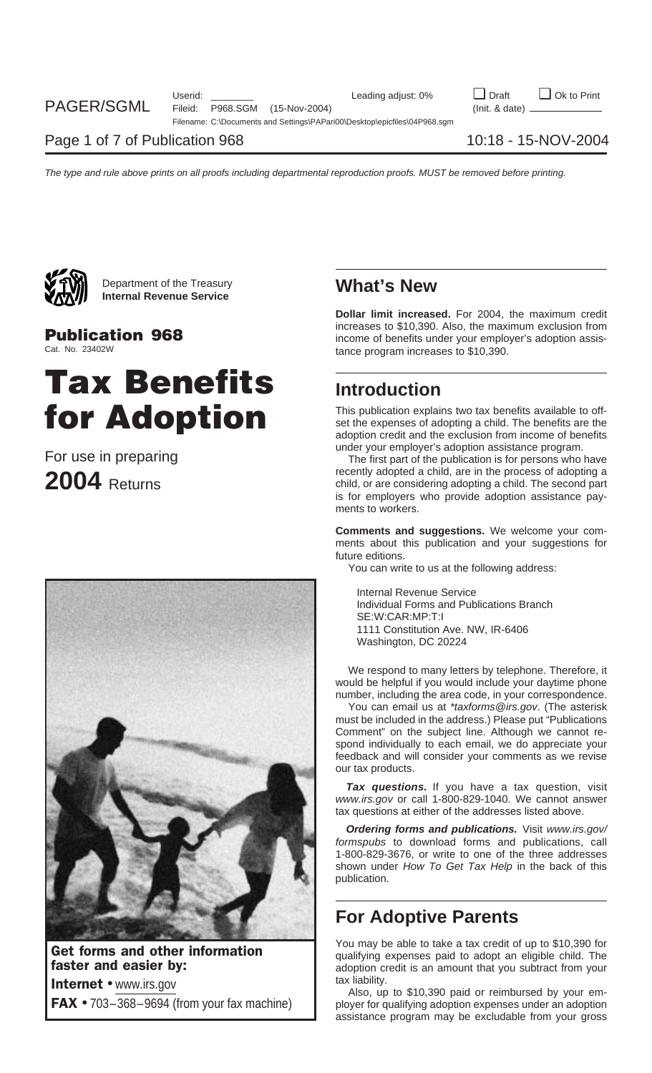

Department of the Treasury **What's New Internal Revenue Service**

# **Tax Benefits Introduction**



Internet • www.irs.gov **Also and Also, up tax liability.**<br>Also, up to \$10,390 paid or reimbursed by your em-

**Dollar limit increased.** For 2004, the maximum credit **Publication 968** increases to \$10,390. Also, the maximum exclusion from income of benefits under your employer's adoption assis-<br>Cat. No. 23402W tance program increases to \$10,390.

**for Adoption** This publication explains two tax benefits available to off-<br>set the expenses of adopting a child. The benefits are the adoption credit and the exclusion from income of benefits under your employer's adoption assistance program.

For use in preparing The first part of the publication is for persons who have **2004** Returns **2004 Returns 2004 Returns 2004 Returns** child, or are considering adopting a child. The second part is for employers who provide adoption assistance payments to workers.

> **Comments and suggestions.** We welcome your comments about this publication and your suggestions for future editions.

You can write to us at the following address:

Internal Revenue Service Individual Forms and Publications Branch SE:W:CAR:MP:T:I 1111 Constitution Ave. NW, IR-6406 Washington, DC 20224

We respond to many letters by telephone. Therefore, it would be helpful if you would include your daytime phone number, including the area code, in your correspondence.

You can email us at \*taxforms@irs.gov. (The asterisk must be included in the address.) Please put "Publications Comment" on the subject line. Although we cannot respond individually to each email, we do appreciate your feedback and will consider your comments as we revise our tax products.

**Tax questions.** If you have a tax question, visit www.irs.gov or call 1-800-829-1040. We cannot answer tax questions at either of the addresses listed above.

**Ordering forms and publications.** Visit www.irs.gov/ formspubs to download forms and publications, call 1-800-829-3676, or write to one of the three addresses shown under How To Get Tax Help in the back of this publication.

## **For Adoptive Parents**

**Get forms and other information** You may be able to take a tax credit of up to \$10,390 for<br> **Get forms and easier by:**<br> **Get forms and easier by:**<br> **Get forms and easier by:**<br> **CALC Adoption credit is an amount that you s** adoption credit is an amount that you subtract from your

FAX • 703-368-9694 (from your fax machine) ployer for qualifying adoption expenses under an adoption assistance program may be excludable from your gross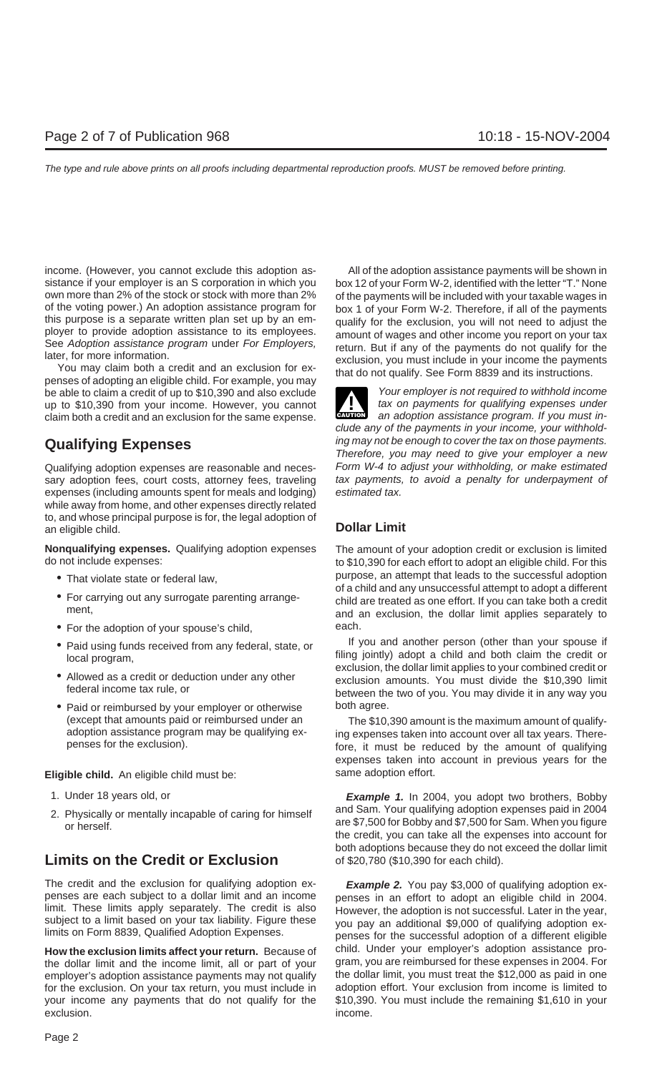income. (However, you cannot exclude this adoption as- All of the adoption assistance payments will be shown in sistance if your employer is an S corporation in which you box 12 of your Form W-2, identified with the letter "T." None own more than 2% of the stock or stock with more than 2% of the payments will be included with your taxable wages in<br>of the voting power.) An adoption assistance program for box 1 of your Form W-2. Therefore if all of the of the voting power.) An adoption assistance program for box 1 of your Form W-2. Therefore, if all of the payments<br>this purpose is a separate written plan set up by an em-<br>guality for the exclusion you will not need to adj

be able to claim a credit of up to \$10,390 and also exclude Your employer is not required to withhold income V<br>Very have modern to what income and the very set of the very set of the very have the set of gualifying expense up to \$10,390 from your income. However, you cannot the state on payments for qualifying expenses under claim both a credit and an exclusion for the same expense. claim both a credit and an exclusion for the same expense.

sary adoption fees, court costs, attorney fees, traveling tax payments, to avoid a penalty for underpayment of expenses (including amounts spent for meals and lodging) estimated tax. expenses (including amounts spent for meals and lodging) while away from home, and other expenses directly related to, and whose principal purpose is for, the legal adoption of an eligible child. **Dollar Limit**

**Nonqualifying expenses.** Qualifying adoption expenses The amount of your adoption credit or exclusion is limited

- 
- 
- For the adoption of your spouse's child, each.
- 
- 
- Paid or reimbursed by your employer or otherwise both agree.

**Eligible child.** An eligible child must be: same adoption effort.

- 
- 

## **Limits on the Credit or Exclusion** of \$20,780 (\$10,390 for each child).

The credit and the exclusion for qualifying adoption ex-<br>penses are each subject to a dollar limit and an income<br>penses in an effort to adopt an eligible child in 2004 penses are each subject to a dollar limit and an income penses in an effort to adopt an eligible child in 2004.<br>Iimit. These limits apply separately. The credit is also However the adoption is not successful Later in the v

the dollar limit and the income limit, all or part of your gram, you are reimbursed for these expenses in 2004. For<br>employer's adoption assistance payments may not qualify the dollar limit, you must treat the \$12,000 as pa employer's adoption assistance payments may not qualify the dollar limit, you must treat the \$12,000 as paid in one<br>for the exclusion. On your tax return, you must include in adoption effort. Your exclusion from income is for the exclusion. On your tax return, you must include in your income any payments that do not qualify for the \$10,390. You must include the remaining \$1,610 in your exclusion. **income.** 

this purpose is a separate written plan set up by an em-<br>ployer to provide adoption assistance to its employees.<br>See *Adoption assistance program* under *For Employers*,<br>later, for more information.<br>You may claim both a cr



clude any of the payments in your income, your withhold-**Qualifying Expenses** ing may not be enough to cover the tax on those payments. Therefore, you may need to give your employer a new Qualifying adoption expenses are reasonable and neces-<br>Form W-4 to adjust your withholding, or make estimated of

do not include expenses: to \$10,390 for each effort to adopt an eligible child. For this • That violate state or federal law,<br>
• For carrying out any surrogate parenting arrange-<br>
• For carrying out any surrogate parenting arrange-<br>
ment,<br>
and an exclusion, the dollar limit applies separately to<br>
to adopt a di

• Paid using funds received from any federal, state, or<br>lig jointly) adopt a child and both claim the credit or<br>allowed as a credit or deduction under any other<br>federal income tax rule, or<br>federal income tax rule, or<br>the

(except that amounts paid or reimbursed under an The \$10,390 amount is the maximum amount of qualify-<br>adoption assistance program may be qualifying ex-<br>ing expenses taken into account over all tax vears. Thereadoption assistance program may be qualifying ex-<br>
penses for the exclusion).<br>
fore, it must be reduced by the amount of qualifying expenses taken into account in previous years for the

1. Under 18 years old, or **Example 1.** In 2004, you adopt two brothers, Bobby and Sam. Your qualifying adoption expenses paid in 2004 2. Physically or mentally incapable of caring for himself are \$7,500 for Bobby and \$7,500 for Sam. When you figure or herself. the credit, you can take all the expenses into account for both adoptions because they do not exceed the dollar limit

limit. These limits apply separately. The credit is also<br>subject to a limit based on your tax liability. Figure these you pay an additional \$9,000 of qualifying adoption ex-<br>limits on Form 8839, Qualified Adoption Expenses **How the exclusion limits affect your return.** Because of child. Under your employer's adoption assistance pro-<br>the dollar limit and the income limit, all or part of your gram, you are reimbursed for these expenses in 2004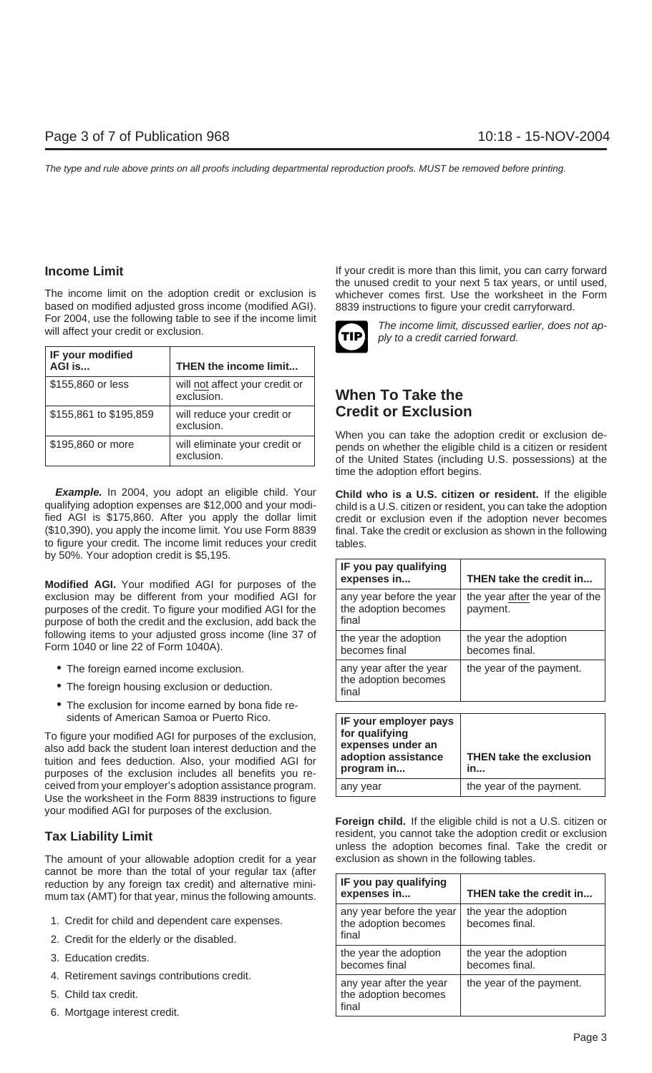The income limit on the adoption credit or exclusion is whichever comes first. Use the worksheet in the Form based on modified adjusted gross income (modified AGI). 8839 instructions to figure your credit carryforward. For 2004, use the following table to see if the income limit<br>will affect your credit or exclusion.<br>**TIP** ply to a credit carried forward.

| IF your modified<br>AGI is | <b>THEN the income limit</b>                 |
|----------------------------|----------------------------------------------|
| \$155,860 or less          | will not affect your credit or<br>exclusion. |
| \$155,861 to \$195,859     | will reduce your credit or<br>exclusion.     |
| \$195,860 or more          | will eliminate your credit or<br>exclusion.  |

**Example.** In 2004, you adopt an eligible child. Your<br>qualifying adoption expenses are \$12,000 and your modi-<br>child is a U.S. citizen or resident, you can take the adoption fied AGI is \$175,860. After you apply the dollar limit credit or exclusion even if the adoption never becomes (\$10,390), you apply the income limit. You use Form 8839 final. Take the credit or exclusion as shown in the following to figure your credit. The income limit reduces your credit tables. by 50%. Your adoption credit is \$5,195.

**Modified AGI.** Your modified AGI for purposes of the exclusion may be different from your modified AGI for purposes of the credit. To figure your modified AGI for the purpose of both the credit and the exclusion, add back the following items to your adjusted gross income (line 37 of Form 1040 or line 22 of Form 1040A).

- The foreign earned income exclusion.
- The foreign housing exclusion or deduction.
- The exclusion for income earned by bona fide residents of American Samoa or Puerto Rico.

To figure your modified AGI for purposes of the exclusion, also add back the student loan interest deduction and the tuition and fees deduction. Also, your modified AGI for purposes of the exclusion includes all benefits you received from your employer's adoption assistance program. Use the worksheet in the Form 8839 instructions to figure your modified AGI for purposes of the exclusion.

The amount of your allowable adoption credit for a year exclusion as shown in the following tables. cannot be more than the total of your regular tax (after reduction by any foreign tax credit) and alternative minimum tax (AMT) for that year, minus the following amounts.

- 1. Credit for child and dependent care expenses.
- 2. Credit for the elderly or the disabled.
- 
- 4. Retirement savings contributions credit.
- 5. Child tax credit.
- 6. Mortgage interest credit.

**Income Limit** If your credit is more than this limit, you can carry forward the unused credit to your next 5 tax years, or until used,



### **When To Take the Credit or Exclusion**

When you can take the adoption credit or exclusion depends on whether the eligible child is a citizen or resident of the United States (including U.S. possessions) at the time the adoption effort begins.

| IF you pay qualifying<br>expenses in                      | THEN take the credit in                    |
|-----------------------------------------------------------|--------------------------------------------|
| any year before the year<br>the adoption becomes<br>final | the year after the year of the<br>payment. |
| the year the adoption<br>becomes final                    | the year the adoption<br>becomes final.    |
| any year after the year<br>the adoption becomes<br>final  | the year of the payment.                   |

| IF your employer pays<br>for qualifying<br>expenses under an<br>adoption assistance<br>program in | <b>THEN take the exclusion</b><br>in |
|---------------------------------------------------------------------------------------------------|--------------------------------------|
| any year                                                                                          | the year of the payment.             |

**Foreign child.** If the eligible child is not a U.S. citizen or **Tax Liability Limit resident**, you cannot take the adoption credit or exclusion unless the adoption becomes final. Take the credit or

| annoi bo moro inan ino iolar or your rogalar lan jallor<br>eduction by any foreign tax credit) and alternative mini-<br>num tax (AMT) for that year, minus the following amounts.<br>1. Credit for child and dependent care expenses.<br>2. Credit for the elderly or the disabled.<br>3. Education credits. | IF you pay qualifying<br>expenses in                      | THEN take the credit in                 |
|--------------------------------------------------------------------------------------------------------------------------------------------------------------------------------------------------------------------------------------------------------------------------------------------------------------|-----------------------------------------------------------|-----------------------------------------|
|                                                                                                                                                                                                                                                                                                              | any year before the year<br>the adoption becomes<br>final | the year the adoption<br>becomes final. |
|                                                                                                                                                                                                                                                                                                              | the year the adoption<br>becomes final                    | the year the adoption<br>becomes final. |
| 4. Retirement savings contributions credit.<br>5. Child tax credit.<br>6. Mortgage interest credit.                                                                                                                                                                                                          | any year after the year<br>the adoption becomes<br>final  | the year of the payment.                |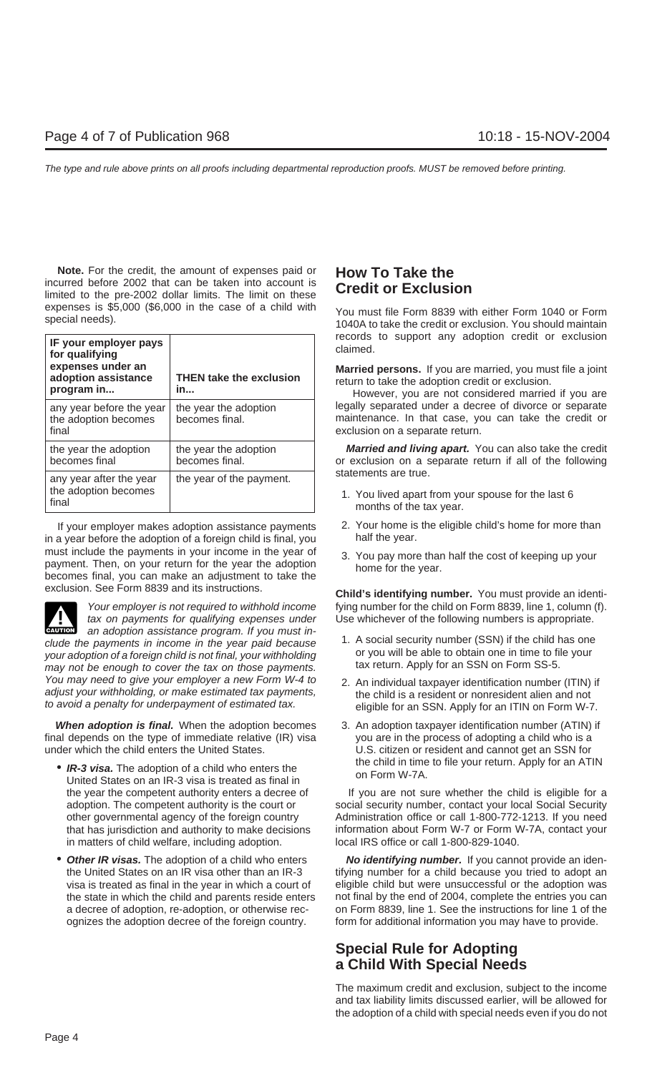**Note.** For the credit, the amount of expenses paid or **How To Take the** incurred before 2002 that can be taken into account is incurred before 2002 that can be taken into account is<br>limited to the pre-2002 dollar limits. The limit on these<br>expenses is \$5,000 (\$6,000 in the case of a child with<br> $\frac{1}{2}$   $\frac{1}{2}$   $\frac{1}{2}$   $\frac{1}{2}$   $\frac{1}{2}$   $\frac{$ 

| IF your employer pays<br>for qualifying<br>expenses under an<br>adoption assistance<br>program in | <b>THEN take the exclusion</b><br>in    |
|---------------------------------------------------------------------------------------------------|-----------------------------------------|
| any year before the year<br>the adoption becomes<br>final                                         | the year the adoption<br>becomes final. |
| the year the adoption<br>becomes final                                                            | the year the adoption<br>becomes final. |
| any year after the year<br>the adoption becomes<br>final                                          | the year of the payment.                |

in a year before the adoption of a foreign child is final, you must include the payments in your income in the year of an X-You pay more than half the cost of keeping up your payment. Then, on your return for the year the adoption becomes final, you can make an adjustment to take the exclusion. See Form 8839 and its instructions. **Child's identifying number.** You must provide an identi-



an adoption assistance program. If you must inmay not be enough to cover the tax on those payments.

to avoid a penalty for underpayment of estimated tax. eligible for an SSN. Apply for an ITIN on Form W-7.

**When adoption is final.** When the adoption becomes 3. An adoption taxpayer identification number (ATIN) if final depends on the type of immediate relative (IR) visa you are in the process of adopting a child who is a under which the child enters the United States. U.S. citizen or resident and cannot get an SSN for

- in matters of child welfare, including adoption. local IRS office or call 1-800-829-1040.
- 

expenses is \$5,000 (\$6,000 in the case of a child with You must file Form 8839 with either Form 1040 or Form special needs). records to support any adoption credit or exclusion claimed.

**Married persons.** If you are married, you must file a joint<br>return to take the adoption credit or exclusion.<br>However, you are not considered married if you are

legally separated under a decree of divorce or separate maintenance. In that case, you can take the credit or exclusion on a separate return.

**Married and living apart.** You can also take the credit or exclusion on a separate return if all of the following statements are true.

- 1. You lived apart from your spouse for the last 6 months of the tax year.
- If your employer makes adoption assistance payments 2. Your home is the eligible child's home for more than<br>a vear before the adoption of a foreign child is final, you blaif the year.
	-

Your employer is not required to withhold income fying number for the child on Form 8839, line 1, column (f). tax on payments for qualifying expenses under Use whichever of the following numbers is appropriate.

- clude the payments in income in the year paid because the social security number (SSN) if the child has one<br>your adoption of a foreign child is not final, your withholding or you will be able to obtain one in time to file
- You may need to give your employer a new Form W-4 to 2. An individual taxpayer identification number (ITIN) if adjust your withholding, or make estimated tax payments, the child is a resident or nonresident alien and not
	- **IR-3 visa.** The adoption of a child who enters the the child in time to file your return. Apply for an ATIN United States on an IR-3 visa is treated as final in

the year the competent authority enters a decree of If you are not sure whether the child is eligible for a adoption. The competent authority is the court or social security number, contact your local Social Security other governmental agency of the foreign country Administration office or call 1-800-772-1213. If you need that has jurisdiction and authority to make decisions information about Form W-7 or Form W-7A, contact your

• **Other IR visas.** The adoption of a child who enters **No identifying number.** If you cannot provide an identhe United States on an IR visa other than an IR-3 tifying number for a child because you tried to adopt an visa is treated as final in the year in which a court of eligible child but were unsuccessful or the adoption was the state in which the child and parents reside enters not final by the end of 2004, complete the entries you can a decree of adoption, re-adoption, or otherwise rec- on Form 8839, line 1. See the instructions for line 1 of the ognizes the adoption decree of the foreign country. form for additional information you may have to provide.

## **Special Rule for Adopting a Child With Special Needs**

The maximum credit and exclusion, subject to the income and tax liability limits discussed earlier, will be allowed for the adoption of a child with special needs even if you do not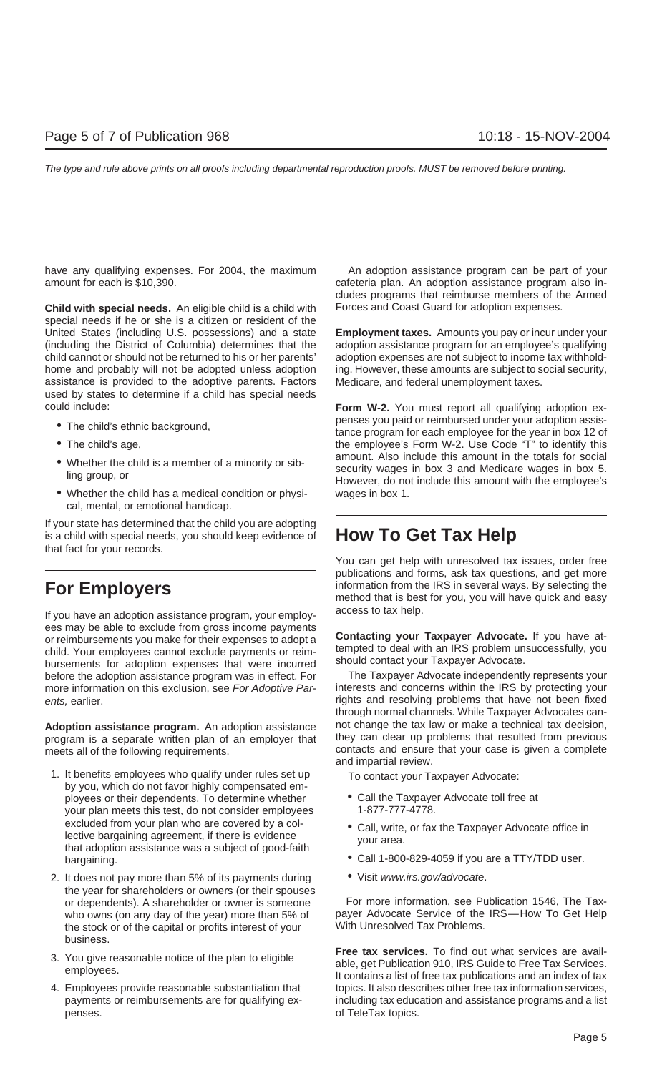have any qualifying expenses. For 2004, the maximum An adoption assistance program can be part of your amount for each is \$10,390. cafeteria plan. An adoption assistance program also in-

**Child with special needs.** An eligible child is a child with Forces and Coast Guard for adoption expenses. special needs if he or she is a citizen or resident of the United States (including U.S. possessions) and a state **Employment taxes.** Amounts you pay or incur under your (including the District of Columbia) determines that the adoption assistance program for an employee's qualifying child cannot or should not be returned to his or her parents' adoption expenses are not subject to income tax withholdhome and probably will not be adopted unless adoption ing. However, these amounts are subject to social security, assistance is provided to the adoptive parents. Factors Medicare, and federal unemployment taxes. used by states to determine if a child has special needs could include: **Form W-2.** You must report all qualifying adoption ex-

- 
- 
- 
- Whether the child has a medical condition or physi- wages in box 1. cal, mental, or emotional handicap.

If your state has determined that the child you are adopting is a child with special needs, you should keep evidence of **How To Get Tax Help** that fact for your records.

If you have an adoption assistance program, your employ- access to tax help. ees may be able to exclude from gross income payments<br>or reimbursements you make for their expenses to adopt a<br>child. Your employees cannot exclude payments or reim-<br>bursements for adoption expenses that were incurred shou before the adoption assistance program was in effect. For The Taxpayer Advocate independently represents your more information on this exclusion, see For Adoptive Par- interests and concerns within the IRS by protecting your ents, earlier. The rights and resolving problems that have not been fixed

program is a separate written plan of an employer that meets all of the following requirements. The contacts and ensure that your case is given a complete

- 1. It benefits employees who qualify under rules set up To contact your Taxpayer Advocate: by you, which do not favor highly compensated employees or their dependents. To determine whether • Call the Taxpayer Advocate toll free at vour plan meets this test, do not consider employees 1-877-777-4778. your plan meets this test, do not consider employees excluded from your plan who are covered by a col-<br>
lective bargaining agreement, if there is evidence your area.<br>
that adoption assistance was a subject of good-faith your area. bargaining. • Call 1-800-829-4059 if you are a TTY/TDD user.
- 2. It does not pay more than 5% of its payments during Visit www.irs.gov/advocate. the year for shareholders or owners (or their spouses the stock or of the capital or profits interest of your business.
- 
- penses. **penses**.

cludes programs that reimburse members of the Armed

• The child's ethnic background, ethnic background, the child's ethnic background, tance program for each employee for the year in box 12 of • The child's age, the employee's Form W-2. Use Code "T" to identify this and the employee's Form W-2. Use Code "T" to identify this and this amount. Also include this amount in the totals for social • Whether the child is a member of a minority or sib-<br>ling group, or<br>However, do not include this amount with the employee's

You can get help with unresolved tax issues, order free publications and forms, ask tax questions, and get more **For Employers For Employers For Employers For Employers For Employers For Employers For the IRS** in several ways. By selecting the method that is best for you, you will have quick and easy

through normal channels. While Taxpayer Advocates can-**Adoption assistance program.** An adoption assistance not change the tax law or make a technical tax decision, program is a separate written plan of an employer that they can clear up problems that resulted from previous and impartial review.

- 
- 
- 
- 

or dependents). A shareholder or owner is someone For more information, see Publication 1546, The Taxwho owns (on any day of the year) more than 5% of payer Advocate Service of the IRS—How To Get Help<br>the stock or of the capital or profits interest of your With Unresolved Tax Problems.

-3. You give reasonable notice of the plan to eligible<br>able, get Publication 910, IRS Guide to Free Tax Services.<br>It contains a list of free tax publications and an index of tax 4. Employees provide reasonable substantiation that topics. It also describes other free tax information services, payments or reimbursements are for qualifying ex- including tax education and assistance programs and a list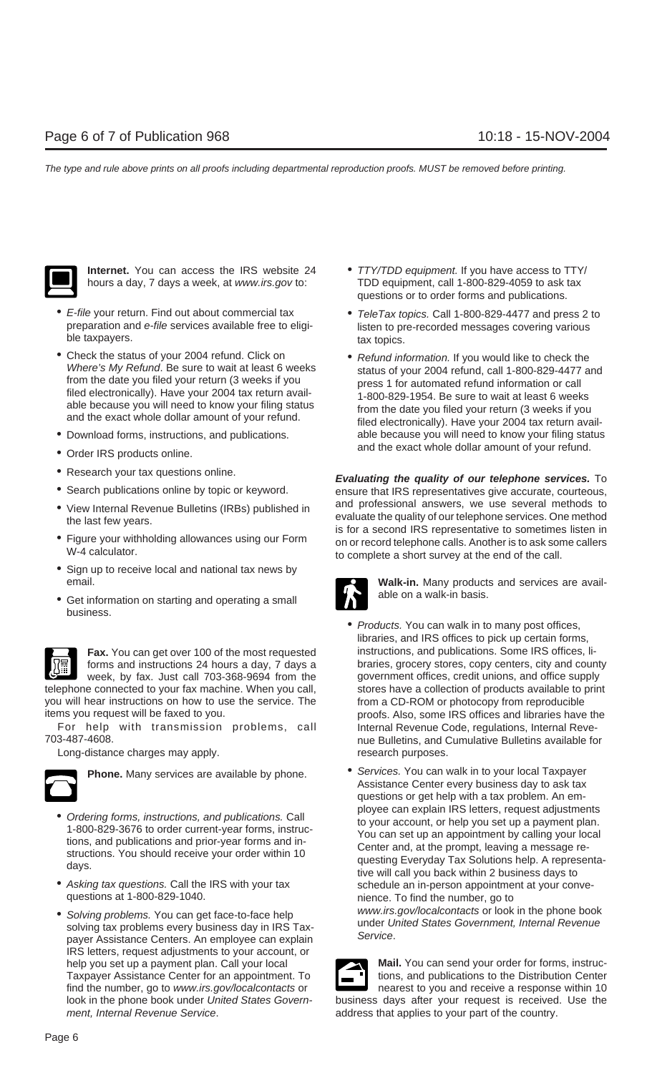

- E-file your return. Find out about commercial tax TeleTax topics. Call 1-800-829-4477 and press 2 to preparation and e-file services available free to eligi-<br>preparation and e-file services available free to eligi-<br>lis ble taxpayers. The set of the set of the set of the set of the set of the set of the set of the set of the set of the set of the set of the set of the set of the set of the set of the set of the set of the set of the set o
- Check the status of your 2004 refund. Click on Refund information. If you would like to check the Where's My Refund. Be sure to wait at least 6 weeks status of your 2004 refund call 1-800-829-4477 at
- 
- 
- 
- 
- 
- 
- Sign up to receive local and national tax news by email. **Walk-in.** Many products and services are avail-
- Get information on starting and operating a small **the starting and operation** a walk-in basis. business.



you will hear instructions on how to use the service. The from a CD-ROM or photocopy from reproducible

For help with transmission problems, call Internal Revenue Code, regulations, Internal Reve-703-487-4608. nue Bulletins, and Cumulative Bulletins available for

Long-distance charges may apply. The contract of the research purposes.



- 
- 
- Solving problems. You can get face-to-face help www.irs.gov/localcontacts or look in the phone book solving tax problems every business day in IRS Tax-<br>payer Assistance Centers. An employee can explain Service. IRS letters, request adjustments to your account, or ment, Internal Revenue Service. The same address that applies to your part of the country.
- **Internet.** You can access the IRS website 24 TTY/TDD equipment. If you have access to TTY/ hours a day, 7 days a week, at www.irs.gov to: TDD equipment, call 1-800-829-4059 to ask tax questions or to order forms and publications.
	- listen to pre-recorded messages covering various
- Where's My Refund. Be sure to wait at least 6 weeks<br>from the date you filed your return (3 weeks if you<br>filed electronically). Have your 2004 tax return avail-<br>able because you will need to know your filing status<br>from the able because you will need to know your filling status from the date you filed your return (3 weeks if you and the exact whole dollar amount of your refund. filed electronically). Have your 2004 tax return avail-• Download forms, instructions, and publications. <br>able because you will need to know your filing status and the exact whole dollar amount of your refund. • Order IRS products online.

• Research your tax questions online. **Evaluating the quality of our telephone services.** To • Search publications online by topic or keyword. ensure that IRS representatives give accurate, courteous, <ul>\n<li>View Internal Revenue Bulletins (IRBs) published in the last few years.</li>\n<li>Figure your withholding allowsances using our Form W-4 calculator.</li>\n<li>W-4 calculator.</li>\n</ul>\n<p>Now the last few years.</p>\n<p>We use several methods to evaluate the quality of our telephone services. One method is for a second IRS representative to sometimes listen in our record telephone calls. Another is to ask some callers to complete a short survey at the end of the call.</p>



- *Products.* You can walk in to many post offices, libraries, and IRS offices to pick up certain forms, **Fax.** You can get over 100 of the most requested instructions, and publications. Some IRS offices, liforms and instructions 24 hours a day, 7 days a braries, grocery stores, copy centers, city and county week, by fax. Just call 703-368-9694 from the government offices, credit unions, and office supply telephone connected to your fax machine. When you call, stores have a collection of products available to print items you request will be faxed to you. example and proofs. Also, some IRS offices and libraries have the
	- **Phone.** Many services are available by phone. Services. You can walk in to your local Taxpayer Assistance Center every business day to ask tax questions or get help with a tax problem. An em-• Ordering forms, instructions, and publications. Call<br>1-800-829-3676 to order current-year forms, instruc-<br>tions, and publications and prior-year forms and in-<br>structions. You should receive your order within 10<br>days.<br>day • Asking tax questions. Call the IRS with your tax schedule an in-person appointment at your conve-<br>questions at 1-800-829-1040. nience. To find the number, go to

help you set up a payment plan. Call your local **Mail.** You can send your order for forms, instruc-Taxpayer Assistance Center for an appointment. To  $\Box$   $\Box$  tions, and publications to the Distribution Center find the number, go to *www.irs.gov/localcontacts* or **nearest to you and receive a response within 10** look in the phone book under United States Govern-<br>business days after your request is received. Use the